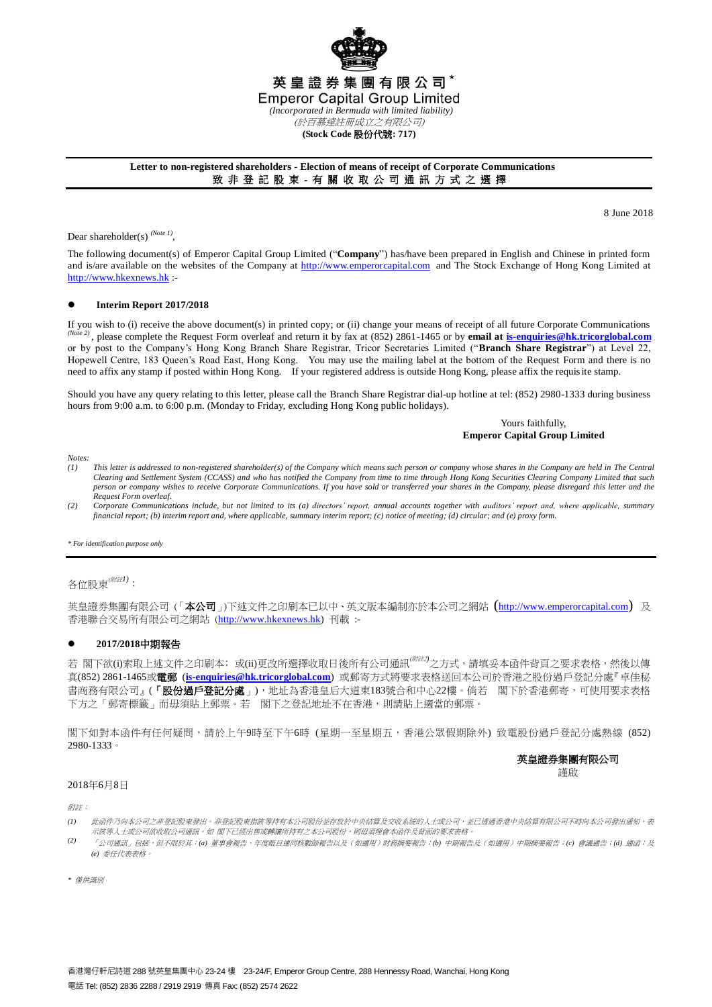

#### **Letter to non-registered shareholders - Election of means of receipt of Corporate Communications** 致 非 登 記 股 東 - 有 關 收 取 公 司 通 訊 方 式 之 選 擇

8 June 2018

Dear shareholder(s)<sup>(Note 1)</sup>,

The following document(s) of Emperor Capital Group Limited ("**Company**") has/have been prepared in English and Chinese in printed form and is/are available on the websites of the Company at [http://www.emperorcapital.com](http://www.emperorcapital.com/) and The Stock Exchange of Hong Kong Limited at [http://www.hkexnews.hk](http://www.hkexnews.hk/) :-

#### **Interim Report 2017/2018**

If you wish to (i) receive the above document(s) in printed copy; or (ii) change your means of receipt of all future Corporate Communications *(Note 2)* , please complete the Request Form overleaf and return it by fax at (852) 2861-1465 or by **email at [is-enquiries@hk.tricorglobal.com](mailto:is-ecom@hk.tricorglobal.com)** or by post to the Company's Hong Kong Branch Share Registrar, Tricor Secretaries Limited ("**Branch Share Registrar**") at Level 22, Hopewell Centre, 183 Queen's Road East, Hong Kong. You may use the mailing label at the bottom of the Request Form and there is no need to affix any stamp if posted within Hong Kong. If your registered address is outside Hong Kong, please affix the requisite stamp.

Should you have any query relating to this letter, please call the Branch Share Registrar dial-up hotline at tel: (852) 2980-1333 during business hours from 9:00 a.m. to 6:00 p.m. (Monday to Friday, excluding Hong Kong public holidays).

#### Yours faithfully, **Emperor Capital Group Limited**

*Notes:*

- *(1) This letter is addressed to non-registered shareholder(s) of the Company which means such person or company whose shares in the Company are held in The Central Clearing and Settlement System (CCASS) and who has notified the Company from time to time through Hong Kong Securities Clearing Company Limited that such person or company wishes to receive Corporate Communications. If you have sold or transferred your shares in the Company, please disregard this letter and the Request Form overleaf.*
- *(2) Corporate Communications include, but not limited to its (a) directors' report, annual accounts together with auditors' report and, where applicable, summary financial report; (b) interim report and, where applicable, summary interim report; (c) notice of meeting; (d) circular; and (e) proxy form.*

#### *\* For identification purpose only*

# 各位股東(附註*1)*:

英皇證券集團有限公司(「本公司」)下述文件之印刷本已以中、英文版本編制亦於本公司之網站([http://www.emperorcapital.com](http://www.emperorcapital.com/)) 及 香港聯合交易所有限公司之網站 ([http://www.hkexnews.hk\)](http://www.hkexnews.hk/) 刊載 :-

#### **2017/2018**中期報告

若 閣下欲(i)索取上述文件之印刷本;或(ii)更改所選擇收取日後所有公司通訊<sup>(*""注*2)</sup>之方式,請填妥本函件背頁之要求表格,然後以傳 真(852) 2861-1465或電郵 (**[is-enquiries@hk.tricorglobal.com](mailto:is-ecom@hk.tricorglobal.com)**) 或郵寄方式將要求表格送回本公司於香港之股份過戶登記分處『卓佳秘 書商務有限公司』(「**股份過戶登記分處**」),地址為香港皇后大道東183號合和中心22樓。倘若 閣下於香港郵寄,可使用要求表格 下方之「郵寄標籤」而毋須貼上郵票。若 閣下之登記地址不在香港,則請貼上適當的郵票。

閣下如對本函件有任何疑問,請於上午9時至下午6時 (星期一至星期五,香港公眾假期除外) 致電股份過戶登記分處熱線 (852) 2980-1333。

#### 英皇證券集團有限公司

謹啟

#### 2018年6月8日

附註:

- *(1)* 此函件乃向本公司之非登記股東發出。非登記股東指該等持有本公司股份並存放於中央結算及交收系統的人士或公司,应已透過香港中央結算有限公司不時向本公司發出通知,表 示該等人士或公司欲收取公司通訊。如 閣下已經出售或轉讓所持有之本公司股份,則毋須理會本函件及背面的要求表格
- *(2)* 「公司通訊」包括,但不限於其:*(a)* 董事會報告、年度賬目連同核數師報告以及(如適用)財務摘要報告;*(b)* 中期報告及(如適用)中期摘要報告;*(c)* 會議通告;*(d)* 通函;及 *(e)* 委任代表表格。

*\** 僅供識別